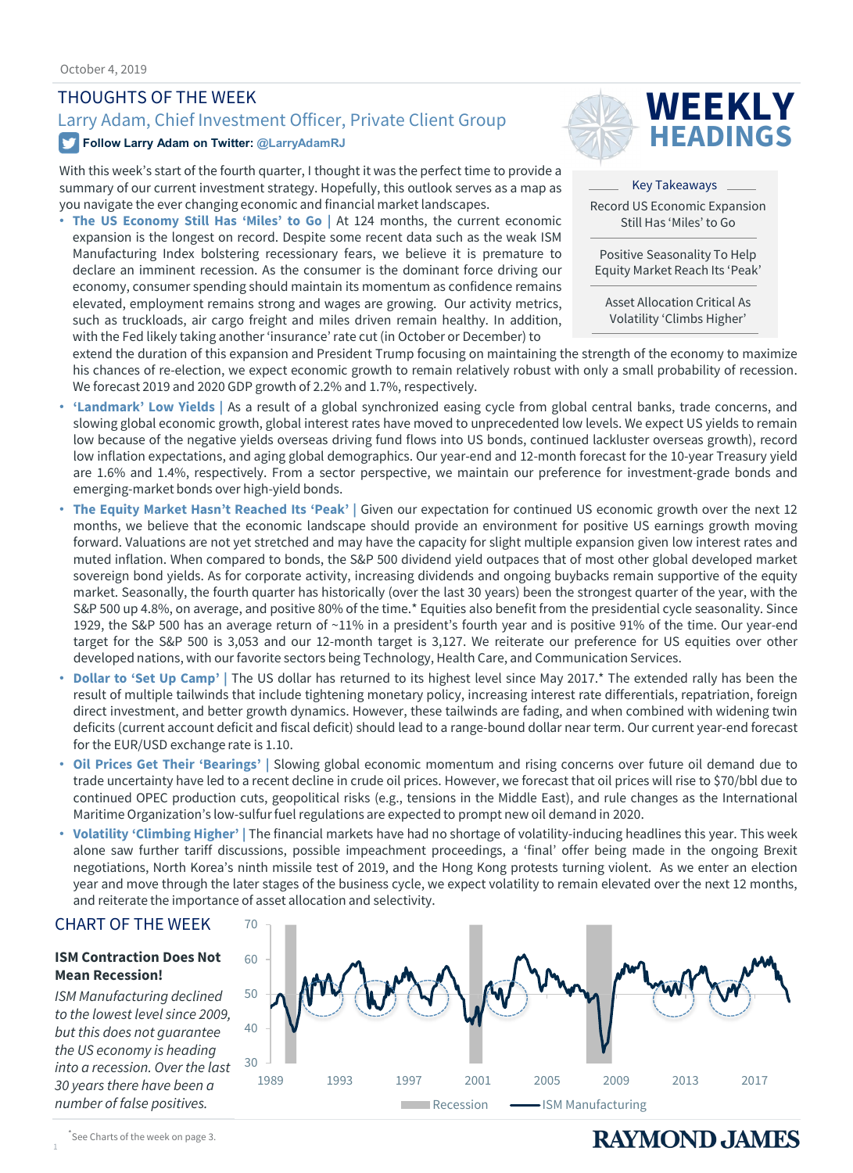### THOUGHTS OF THE WEEK

# Larry Adam, Chief Investment Officer, Private Client Group **WEEKLY**

### **Follow Larry Adam on Twitter: @LarryAdamRJ**

With this week's start of the fourth quarter, I thought it was the perfect time to provide a summary of our current investment strategy. Hopefully, this outlook serves as a map as you navigate the ever changing economic and financial market landscapes.

• **The US Economy Still Has 'Miles' to Go |** At 124 months, the current economic expansion is the longest on record. Despite some recent data such as the weak ISM Manufacturing Index bolstering recessionary fears, we believe it is premature to declare an imminent recession. As the consumer is the dominant force driving our economy, consumer spending should maintain its momentum as confidence remains elevated, employment remains strong and wages are growing. Our activity metrics, such as truckloads, air cargo freight and miles driven remain healthy. In addition, with the Fed likely taking another 'insurance' rate cut (in October or December) to



Key Takeaways Record US Economic Expansion Still Has 'Miles' to Go

Positive Seasonality To Help Equity Market Reach Its 'Peak'

Asset Allocation Critical As Volatility 'Climbs Higher'

extend the duration of this expansion and President Trump focusing on maintaining the strength of the economy to maximize his chances of re-election, we expect economic growth to remain relatively robust with only a small probability of recession. We forecast 2019 and 2020 GDP growth of 2.2% and 1.7%, respectively.

- **'Landmark' Low Yields |** As a result of a global synchronized easing cycle from global central banks, trade concerns, and slowing global economic growth, global interest rates have moved to unprecedented low levels. We expect US yields to remain low because of the negative yields overseas driving fund flows into US bonds, continued lackluster overseas growth), record low inflation expectations, and aging global demographics. Our year-end and 12-month forecast for the 10-year Treasury yield are 1.6% and 1.4%, respectively. From a sector perspective, we maintain our preference for investment-grade bonds and emerging-market bonds over high-yield bonds.
- **The Equity Market Hasn't Reached Its 'Peak' |** Given our expectation for continued US economic growth over the next 12 months, we believe that the economic landscape should provide an environment for positive US earnings growth moving forward. Valuations are not yet stretched and may have the capacity for slight multiple expansion given low interest rates and muted inflation. When compared to bonds, the S&P 500 dividend yield outpaces that of most other global developed market sovereign bond yields. As for corporate activity, increasing dividends and ongoing buybacks remain supportive of the equity market. Seasonally, the fourth quarter has historically (over the last 30 years) been the strongest quarter of the year, with the S&P 500 up 4.8%, on average, and positive 80% of the time.\* Equities also benefit from the presidential cycle seasonality. Since 1929, the S&P 500 has an average return of ~11% in a president's fourth year and is positive 91% of the time. Our year-end target for the S&P 500 is 3,053 and our 12-month target is 3,127. We reiterate our preference for US equities over other developed nations, with our favorite sectors being Technology, Health Care, and Communication Services.
- **Dollar to 'Set Up Camp' |** The US dollar has returned to its highest level since May 2017.\* The extended rally has been the result of multiple tailwinds that include tightening monetary policy, increasing interest rate differentials, repatriation, foreign direct investment, and better growth dynamics. However, these tailwinds are fading, and when combined with widening twin deficits (current account deficit and fiscal deficit) should lead to a range-bound dollar near term. Our current year-end forecast for the EUR/USD exchange rate is 1.10.
- **Oil Prices Get Their 'Bearings' |** Slowing global economic momentum and rising concerns over future oil demand due to trade uncertainty have led to a recent decline in crude oil prices. However, we forecast that oil prices will rise to \$70/bbl due to continued OPEC production cuts, geopolitical risks (e.g., tensions in the Middle East), and rule changes as the International Maritime Organization's low-sulfurfuel regulations are expected to prompt new oil demand in 2020.
- **Volatility 'Climbing Higher' |** The financial markets have had no shortage of volatility-inducing headlines this year. This week alone saw further tariff discussions, possible impeachment proceedings, a 'final' offer being made in the ongoing Brexit negotiations, North Korea's ninth missile test of 2019, and the Hong Kong protests turning violent. As we enter an election year and move through the later stages of the business cycle, we expect volatility to remain elevated over the next 12 months, and reiterate the importance of asset allocation and selectivity.

### CHART OF THE WEEK

### **ISM Contraction Does Not Mean Recession!**

*ISM Manufacturing declined to the lowest level since 2009, but this does not guarantee the US economy is heading into a recession. Over the last 30 years there have been a number of false positives.* 



1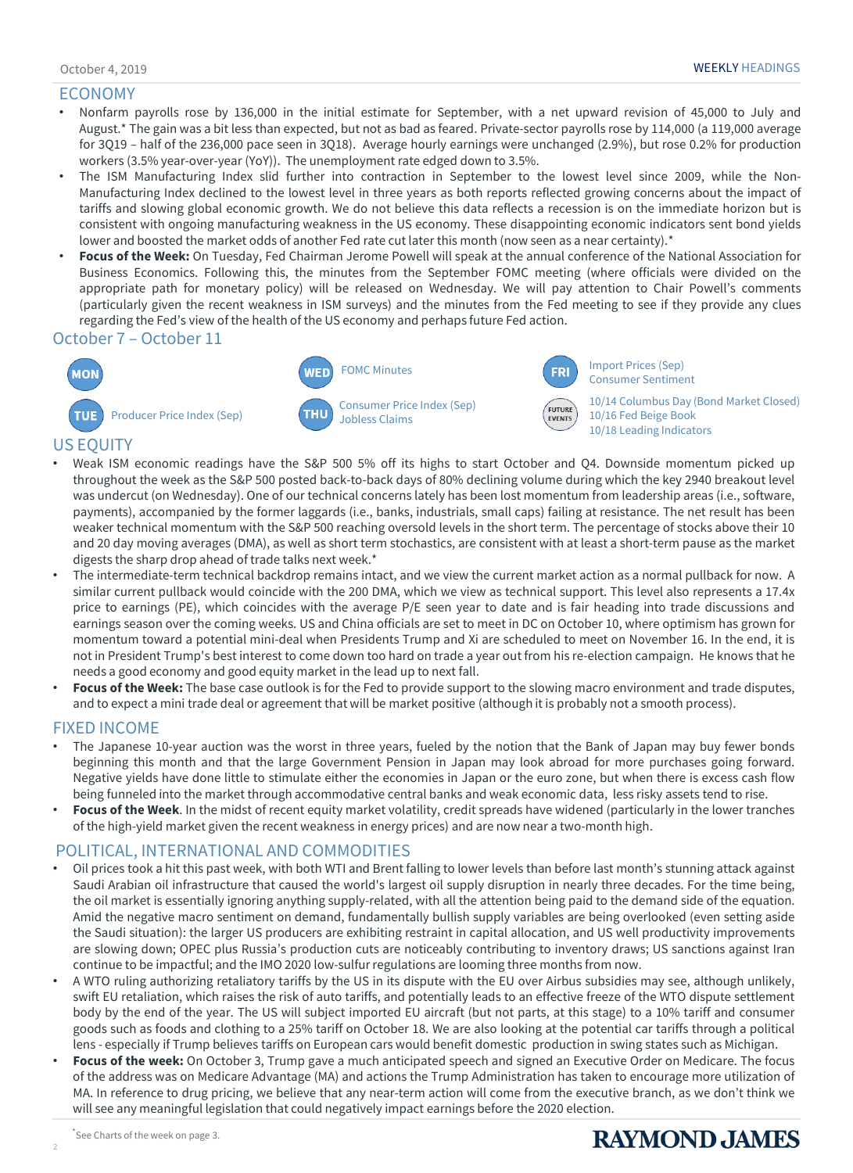### ECONOMY

- Nonfarm payrolls rose by 136,000 in the initial estimate for September, with a net upward revision of 45,000 to July and August.\* The gain was a bit less than expected, but not as bad as feared. Private-sector payrolls rose by 114,000 (a 119,000 average for 3Q19 – half of the 236,000 pace seen in 3Q18). Average hourly earnings were unchanged (2.9%), but rose 0.2% for production workers (3.5% year-over-year (YoY)). The unemployment rate edged down to 3.5%.
- The ISM Manufacturing Index slid further into contraction in September to the lowest level since 2009, while the Non-Manufacturing Index declined to the lowest level in three years as both reports reflected growing concerns about the impact of tariffs and slowing global economic growth. We do not believe this data reflects a recession is on the immediate horizon but is consistent with ongoing manufacturing weakness in the US economy. These disappointing economic indicators sent bond yields lower and boosted the market odds of another Fed rate cut later this month (now seen as a near certainty).\*
- **Focus of the Week:** On Tuesday, Fed Chairman Jerome Powell will speak at the annual conference of the National Association for Business Economics. Following this, the minutes from the September FOMC meeting (where officials were divided on the appropriate path for monetary policy) will be released on Wednesday. We will pay attention to Chair Powell's comments (particularly given the recent weakness in ISM surveys) and the minutes from the Fed meeting to see if they provide any clues regarding the Fed's view of the health of the US economy and perhaps future Fed action.

### October 7 – October 11



Consumer Price Index (Sep) Jobless Claims



10/14 Columbus Day (Bond Market Closed) 10/16 Fed Beige Book 10/18 Leading Indicators

### US EQUITY

**MON** 

- Weak ISM economic readings have the S&P 500 5% off its highs to start October and Q4. Downside momentum picked up throughout the week as the S&P 500 posted back-to-back days of 80% declining volume during which the key 2940 breakout level was undercut (on Wednesday). One of our technical concerns lately has been lost momentum from leadership areas (i.e., software, payments), accompanied by the former laggards (i.e., banks, industrials, small caps) failing at resistance. The net result has been weaker technical momentum with the S&P 500 reaching oversold levels in the short term. The percentage of stocks above their 10 and 20 day moving averages (DMA), as well as short term stochastics, are consistent with at least a short-term pause as the market digests the sharp drop ahead of trade talks next week.\*
- The intermediate-term technical backdrop remains intact, and we view the current market action as a normal pullback for now. A similar current pullback would coincide with the 200 DMA, which we view as technical support. This level also represents a 17.4x price to earnings (PE), which coincides with the average P/E seen year to date and is fair heading into trade discussions and earnings season over the coming weeks. US and China officials are set to meet in DC on October 10, where optimism has grown for momentum toward a potential mini-deal when Presidents Trump and Xi are scheduled to meet on November 16. In the end, it is not in President Trump's best interest to come down too hard on trade a year out from his re-election campaign. He knows that he needs a good economy and good equity market in the lead up to next fall.
- **Focus of the Week:** The base case outlook is for the Fed to provide support to the slowing macro environment and trade disputes, and to expect a mini trade deal or agreement that will be market positive (although it is probably not a smooth process).

### FIXED INCOME

- The Japanese 10-year auction was the worst in three years, fueled by the notion that the Bank of Japan may buy fewer bonds beginning this month and that the large Government Pension in Japan may look abroad for more purchases going forward. Negative yields have done little to stimulate either the economies in Japan or the euro zone, but when there is excess cash flow being funneled into the market through accommodative central banks and weak economic data, less risky assets tend to rise.
- **Focus of the Week**. In the midst of recent equity market volatility, credit spreads have widened (particularly in the lower tranches of the high-yield market given the recent weakness in energy prices) and are now near a two-month high.

### POLITICAL, INTERNATIONAL AND COMMODITIES

- Oil prices took a hit this past week, with both WTI and Brent falling to lower levels than before last month's stunning attack against Saudi Arabian oil infrastructure that caused the world's largest oil supply disruption in nearly three decades. For the time being, the oil market is essentially ignoring anything supply-related, with all the attention being paid to the demand side of the equation. Amid the negative macro sentiment on demand, fundamentally bullish supply variables are being overlooked (even setting aside the Saudi situation): the larger US producers are exhibiting restraint in capital allocation, and US well productivity improvements are slowing down; OPEC plus Russia's production cuts are noticeably contributing to inventory draws; US sanctions against Iran continue to be impactful; and the IMO 2020 low-sulfurregulations are looming three months from now.
- A WTO ruling authorizing retaliatory tariffs by the US in its dispute with the EU over Airbus subsidies may see, although unlikely, swift EU retaliation, which raises the risk of auto tariffs, and potentially leads to an effective freeze of the WTO dispute settlement body by the end of the year. The US will subject imported EU aircraft (but not parts, at this stage) to a 10% tariff and consumer goods such as foods and clothing to a 25% tariff on October 18. We are also looking at the potential car tariffs through a political lens - especially if Trump believes tariffs on European cars would benefit domestic production in swing states such as Michigan.
- **Focus of the week:** On October 3, Trump gave a much anticipated speech and signed an Executive Order on Medicare. The focus of the address was on Medicare Advantage (MA) and actions the Trump Administration has taken to encourage more utilization of MA. In reference to drug pricing, we believe that any near-term action will come from the executive branch, as we don't think we will see any meaningful legislation that could negatively impact earnings before the 2020 election.

2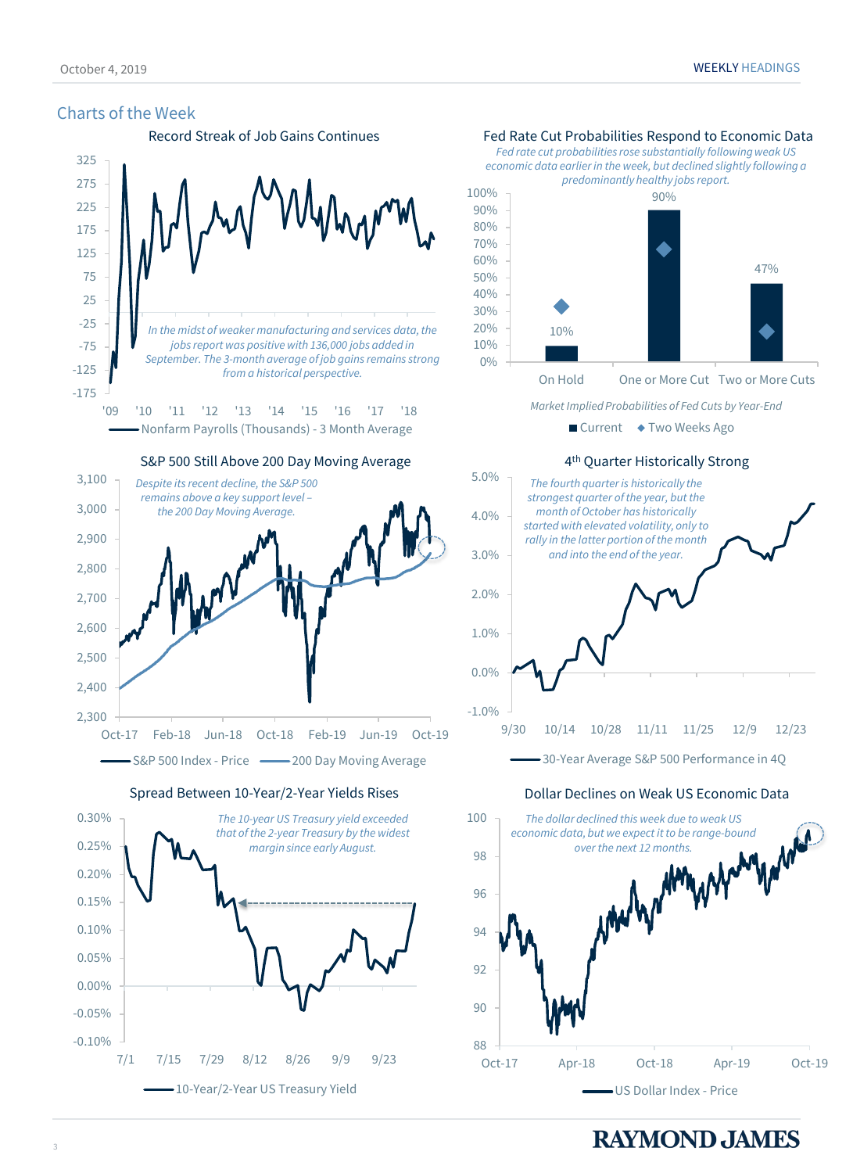### Charts of the Week



2,300 2,400 Oct-17 Feb-18 Jun-18 Oct-18 Feb-19 Jun-19 Oct-19 S&P 500 Index - Price — 200 Day Moving Average

Spread Between 10-Year/2-Year Yields Rises **Dollar Declines on Weak US Economic Data** 



### Record Streak of Job Gains Continues Fed Rate Cut Probabilities Respond to Economic Data

*Fed rate cut probabilities rose substantially following weak US economic data earlier in the week, but declined slightly following a predominantly healthy jobs report.* 



On Hold One or More Cut Two or More Cuts

*Market Implied Probabilities of Fed Cuts by Year-End*

■ Current ◆ Two Weeks Ago



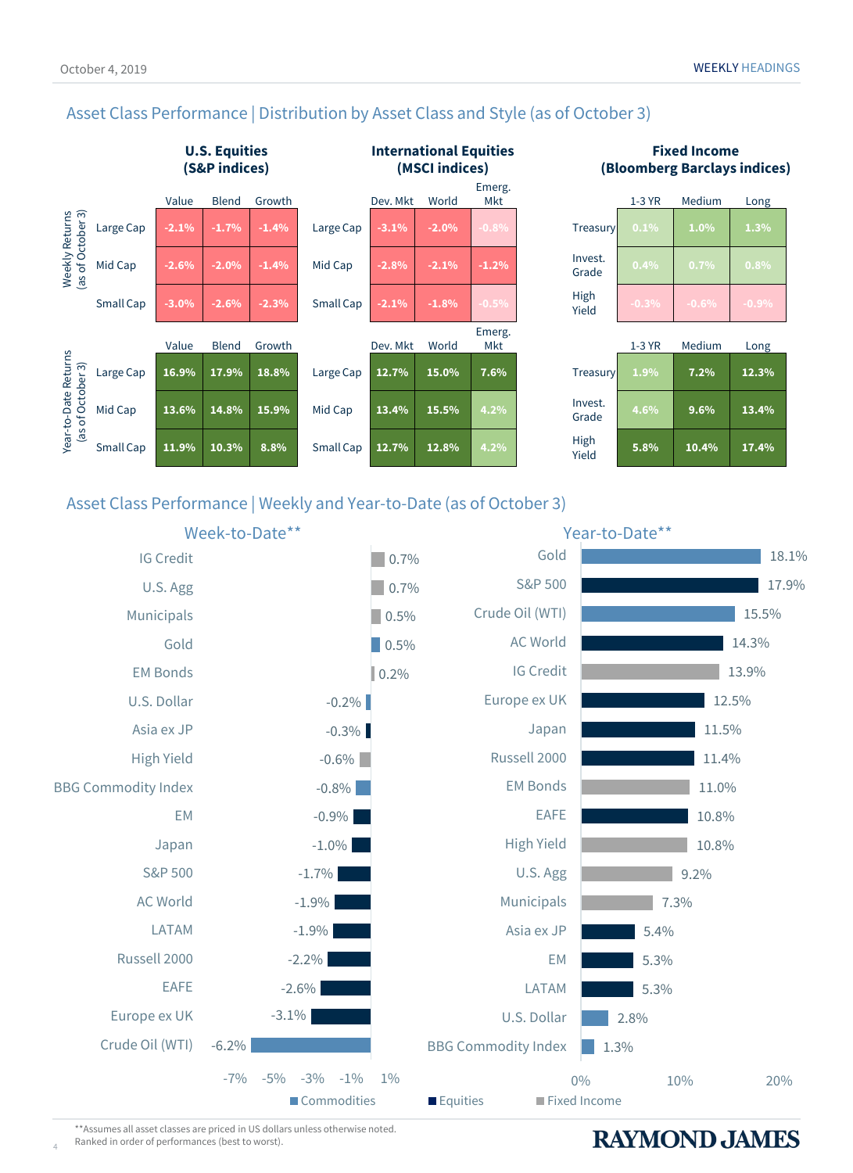

Asset Class Performance | Distribution by Asset Class and Style (as of October 3)

### October 4, 2019 WEEKLY HEADINGS

### **Fixed Income (Bloomberg Barclays indices)**

| $\cdots$<br>Mkt |                  | $1-3$ YR | Medium  | Long    |
|-----------------|------------------|----------|---------|---------|
| 0.8%            | Treasury         | 0.1%     | 1.0%    | 1.3%    |
| 1.2%            | Invest.<br>Grade | 0.4%     | 0.7%    | $0.8\%$ |
| $0.5\%$         | High<br>Yield    | $-0.3%$  | $-0.6%$ | $-0.9%$ |
| nerg.<br>Mkt    |                  | $1-3$ YR | Medium  | Long    |
|                 |                  |          |         |         |

|                  | 1-3 YR | Medium | Long  |
|------------------|--------|--------|-------|
| Treasury         | 1.9%   | 7.2%   | 12.3% |
| Invest.<br>Grade | 4.6%   | 9.6%   | 13.4% |
| High<br>Yield    | 5.8%   | 10.4%  | 17.4% |

### Asset Class Performance | Weekly and Year-to-Date (as of October 3)



\*\*Assumes all asset classes are priced in US dollars unless otherwise noted. Ranked in order of performances (best to worst).

4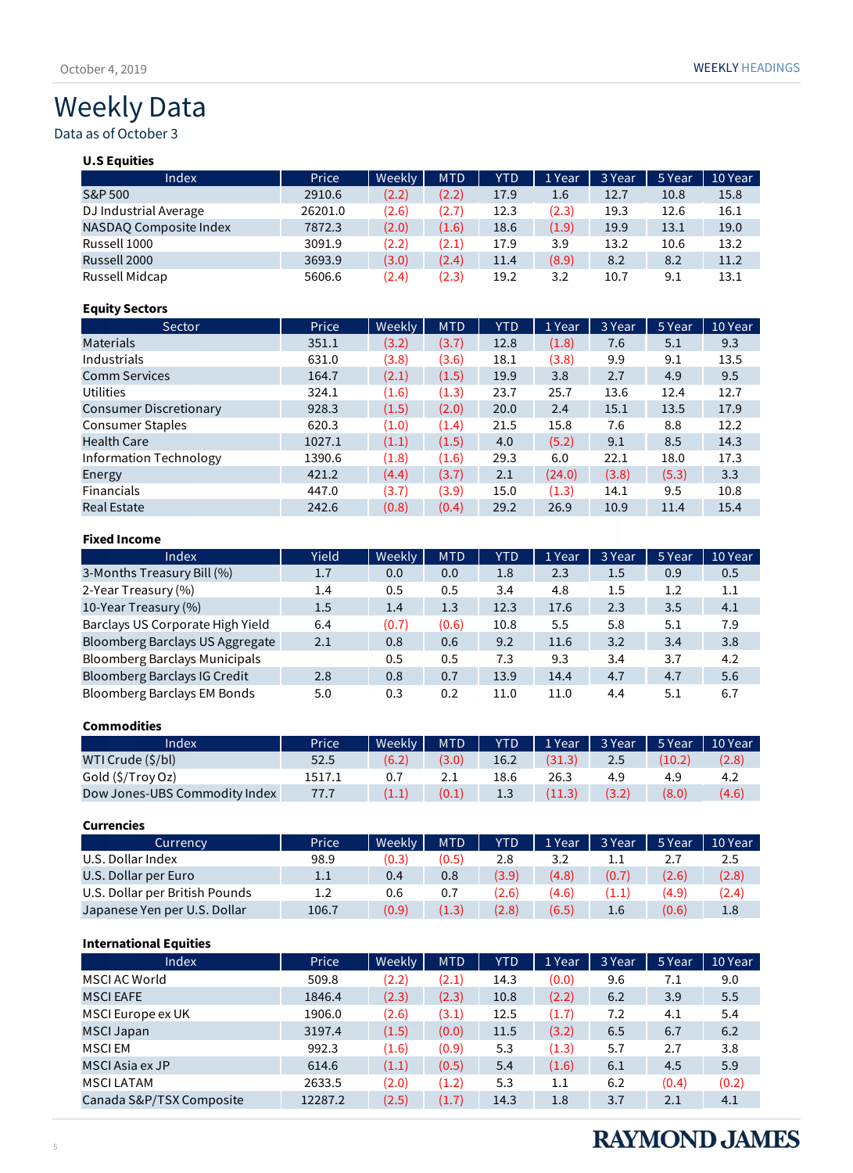# Weekly Data

Data as of October 3

### **U.S Equities**

| Index                  | Price   | Weekly | <b>MTD</b> | <b>YTD</b> | 1 Year | 3 Year | 5 Year | 10 Year |
|------------------------|---------|--------|------------|------------|--------|--------|--------|---------|
| S&P 500                | 2910.6  | (2.2)  | (2.2)      | 17.9       | 1.6    | 12.7   | 10.8   | 15.8    |
| DJ Industrial Average  | 26201.0 | (2.6)  | (2.7)      | 12.3       | (2.3)  | 19.3   | 12.6   | 16.1    |
| NASDAO Composite Index | 7872.3  | (2.0)  | (1.6)      | 18.6       | (1.9)  | 19.9   | 13.1   | 19.0    |
| Russell 1000           | 3091.9  | (2.2)  | (2.1)      | 17.9       | 3.9    | 13.2   | 10.6   | 13.2    |
| Russell 2000           | 3693.9  | (3.0)  | (2.4)      | 11.4       | (8.9)  | 8.2    | 8.2    | 11.2    |
| Russell Midcap         | 5606.6  | (2.4)  | (2.3)      | 19.2       | 3.2    | 10.7   | 9.1    | 13.1    |

### **Equity Sectors**

| Sector                        | Price  | Weekly | <b>MTD</b> | <b>YTD</b> | 1 Year | 3 Year | 5 Year | 10 Year |
|-------------------------------|--------|--------|------------|------------|--------|--------|--------|---------|
| <b>Materials</b>              | 351.1  | (3.2)  | (3.7)      | 12.8       | (1.8)  | 7.6    | 5.1    | 9.3     |
| Industrials                   | 631.0  | (3.8)  | (3.6)      | 18.1       | (3.8)  | 9.9    | 9.1    | 13.5    |
| <b>Comm Services</b>          | 164.7  | (2.1)  | (1.5)      | 19.9       | 3.8    | 2.7    | 4.9    | 9.5     |
| <b>Utilities</b>              | 324.1  | (1.6)  | (1.3)      | 23.7       | 25.7   | 13.6   | 12.4   | 12.7    |
| <b>Consumer Discretionary</b> | 928.3  | (1.5)  | (2.0)      | 20.0       | 2.4    | 15.1   | 13.5   | 17.9    |
| <b>Consumer Staples</b>       | 620.3  | (1.0)  | (1.4)      | 21.5       | 15.8   | 7.6    | 8.8    | 12.2    |
| <b>Health Care</b>            | 1027.1 | (1.1)  | (1.5)      | 4.0        | (5.2)  | 9.1    | 8.5    | 14.3    |
| Information Technology        | 1390.6 | (1.8)  | (1.6)      | 29.3       | 6.0    | 22.1   | 18.0   | 17.3    |
| Energy                        | 421.2  | (4.4)  | (3.7)      | 2.1        | (24.0) | (3.8)  | (5.3)  | 3.3     |
| <b>Financials</b>             | 447.0  | (3.7)  | (3.9)      | 15.0       | (1.3)  | 14.1   | 9.5    | 10.8    |
| <b>Real Estate</b>            | 242.6  | (0.8)  | (0.4)      | 29.2       | 26.9   | 10.9   | 11.4   | 15.4    |

### **Fixed Income**

| Index                            | Yield | Weekly | <b>MTD</b> | <b>YTD</b> | 1 Year | 3 Year | 5 Year | 10 Year |
|----------------------------------|-------|--------|------------|------------|--------|--------|--------|---------|
| 3-Months Treasury Bill (%)       | 1.7   | 0.0    | 0.0        | 1.8        | 2.3    | 1.5    | 0.9    | 0.5     |
| 2-Year Treasury (%)              | 1.4   | 0.5    | 0.5        | 3.4        | 4.8    | 1.5    | 1.2    | 1.1     |
| 10-Year Treasury (%)             | 1.5   | 1.4    | 1.3        | 12.3       | 17.6   | 2.3    | 3.5    | 4.1     |
| Barclays US Corporate High Yield | 6.4   | (0.7)  | (0.6)      | 10.8       | 5.5    | 5.8    | 5.1    | 7.9     |
| Bloomberg Barclays US Aggregate  | 2.1   | 0.8    | 0.6        | 9.2        | 11.6   | 3.2    | 3.4    | 3.8     |
| Bloomberg Barclays Municipals    |       | 0.5    | 0.5        | 7.3        | 9.3    | 3.4    | 3.7    | 4.2     |
| Bloomberg Barclays IG Credit     | 2.8   | 0.8    | 0.7        | 13.9       | 14.4   | 4.7    | 4.7    | 5.6     |
| Bloomberg Barclays EM Bonds      | 5.0   | 0.3    | 0.2        | 11.0       | 11.0   | 4.4    | 5.1    | 6.7     |

### **Commodities**

| Index                         | Price  | Weekly | <b>MTD</b> | <b>YTD</b> | 1 Year | 3 Year | 5 Year | 10 Year |
|-------------------------------|--------|--------|------------|------------|--------|--------|--------|---------|
| WTI Crude (\$/bl)             | 52.5   | (6.2)  | (3.0)      | 16.2       | (31.3) | 2.5    | (10.2) | (2.8)   |
| Gold (\$/Troy Oz)             | 1517.1 | 0.7    |            | 18.6       | 26.3   | 4.9    | 4.9    | 4.2     |
| Dow Jones-UBS Commodity Index | 77.7   | (1.1)  | (0.1)      | 1.3        | (11.3) | (3.2)  | (8.0)  | (4.6)   |

### **Currencies**

| Currency                       | Price | Weekly | <b>MTD</b> | <b>YTD</b> | 1 Year | 3 Year | 5 Year | 10 Year |
|--------------------------------|-------|--------|------------|------------|--------|--------|--------|---------|
| U.S. Dollar Index              | 98.9  | (0.3)  | (0.5)      | 2.8        |        |        | 2. I   | 2.5     |
| U.S. Dollar per Euro           | 1.1   | 0.4    | 0.8        | (3.9)      | (4.8)  | (0.7)  | (2.6)  | (2.8)   |
| U.S. Dollar per British Pounds | 1.2   | 0.6    | 0.7        | (2.6)      | (4.6)  | (1.1)  | (4.9)  | (2.4)   |
| Japanese Yen per U.S. Dollar   | 106.7 | (0.9)  | (1.3)      | (2.8)      | (6.5)  | 1.6    | (0.6)  | 1.8     |

### **International Equities**

| Price   | Weekly | <b>MTD</b> | <b>YTD</b> | 1 Year | 3 Year | 5 Year | 10 Year |
|---------|--------|------------|------------|--------|--------|--------|---------|
| 509.8   | (2.2)  | (2.1)      | 14.3       | (0.0)  | 9.6    | 7.1    | 9.0     |
| 1846.4  | (2.3)  | (2.3)      | 10.8       | (2.2)  | 6.2    | 3.9    | 5.5     |
| 1906.0  | (2.6)  | (3.1)      | 12.5       | (1.7)  | 7.2    | 4.1    | 5.4     |
| 3197.4  | (1.5)  | (0.0)      | 11.5       | (3.2)  | 6.5    | 6.7    | 6.2     |
| 992.3   | (1.6)  | (0.9)      | 5.3        | (1.3)  | 5.7    | 2.7    | 3.8     |
| 614.6   | (1.1)  | (0.5)      | 5.4        | (1.6)  | 6.1    | 4.5    | 5.9     |
| 2633.5  | (2.0)  | (1.2)      | 5.3        | 1.1    | 6.2    | (0.4)  | (0.2)   |
| 12287.2 | (2.5)  | (1.7)      | 14.3       | 1.8    | 3.7    | 2.1    | 4.1     |
|         |        |            |            |        |        |        |         |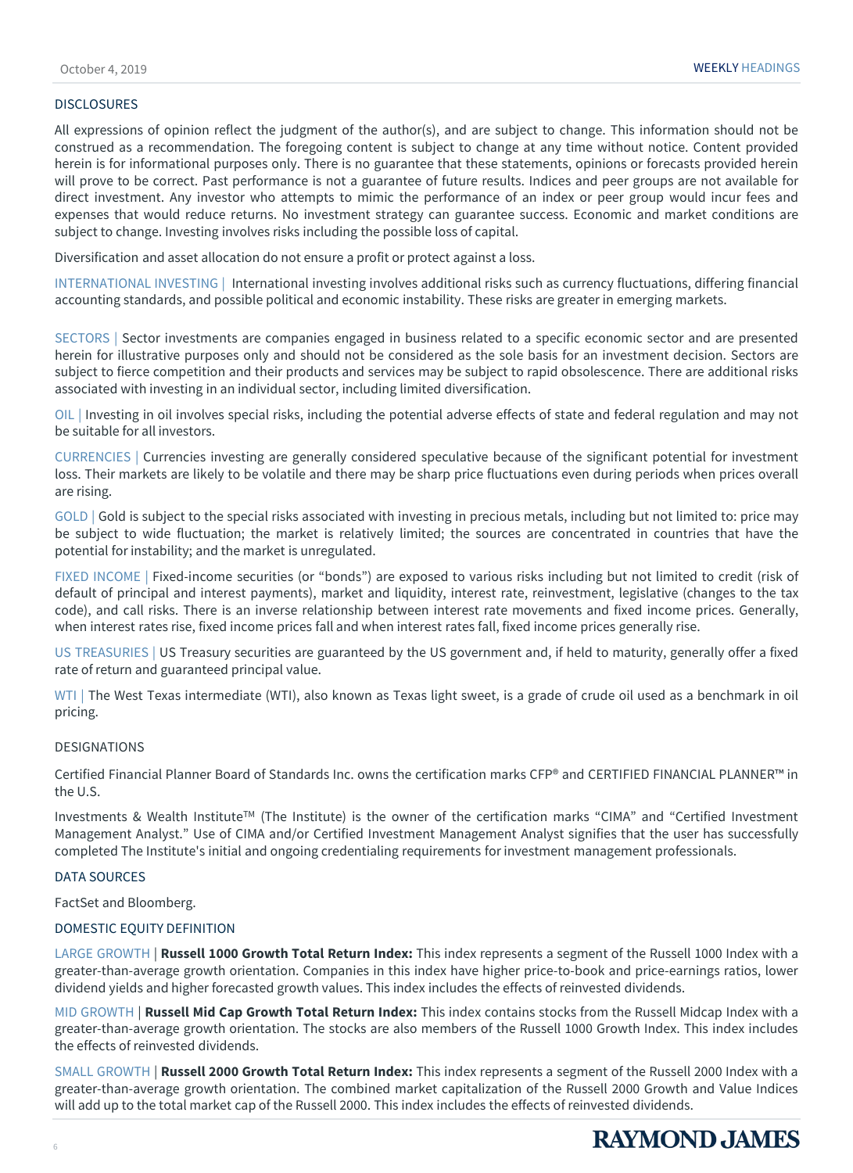### DISCLOSURES

All expressions of opinion reflect the judgment of the author(s), and are subject to change. This information should not be construed as a recommendation. The foregoing content is subject to change at any time without notice. Content provided herein is for informational purposes only. There is no guarantee that these statements, opinions or forecasts provided herein will prove to be correct. Past performance is not a guarantee of future results. Indices and peer groups are not available for direct investment. Any investor who attempts to mimic the performance of an index or peer group would incur fees and expenses that would reduce returns. No investment strategy can guarantee success. Economic and market conditions are subject to change. Investing involves risks including the possible loss of capital.

Diversification and asset allocation do not ensure a profit or protect against a loss.

INTERNATIONAL INVESTING | International investing involves additional risks such as currency fluctuations, differing financial accounting standards, and possible political and economic instability. These risks are greater in emerging markets.

SECTORS | Sector investments are companies engaged in business related to a specific economic sector and are presented herein for illustrative purposes only and should not be considered as the sole basis for an investment decision. Sectors are subject to fierce competition and their products and services may be subject to rapid obsolescence. There are additional risks associated with investing in an individual sector, including limited diversification.

OIL | Investing in oil involves special risks, including the potential adverse effects of state and federal regulation and may not be suitable for all investors.

CURRENCIES | Currencies investing are generally considered speculative because of the significant potential for investment loss. Their markets are likely to be volatile and there may be sharp price fluctuations even during periods when prices overall are rising.

GOLD | Gold is subject to the special risks associated with investing in precious metals, including but not limited to: price may be subject to wide fluctuation; the market is relatively limited; the sources are concentrated in countries that have the potential for instability; and the market is unregulated.

FIXED INCOME | Fixed-income securities (or "bonds") are exposed to various risks including but not limited to credit (risk of default of principal and interest payments), market and liquidity, interest rate, reinvestment, legislative (changes to the tax code), and call risks. There is an inverse relationship between interest rate movements and fixed income prices. Generally, when interest rates rise, fixed income prices fall and when interest rates fall, fixed income prices generally rise.

US TREASURIES | US Treasury securities are guaranteed by the US government and, if held to maturity, generally offer a fixed rate of return and guaranteed principal value.

WTI | The West Texas intermediate (WTI), also known as Texas light sweet, is a grade of crude oil used as a benchmark in oil pricing.

### DESIGNATIONS

Certified Financial Planner Board of Standards Inc. owns the certification marks CFP® and CERTIFIED FINANCIAL PLANNER™ in the U.S.

Investments & Wealth Institute<sup>TM</sup> (The Institute) is the owner of the certification marks "CIMA" and "Certified Investment Management Analyst." Use of CIMA and/or Certified Investment Management Analyst signifies that the user has successfully completed The Institute's initial and ongoing credentialing requirements for investment management professionals.

### DATA SOURCES

FactSet and Bloomberg.

### DOMESTIC EQUITY DEFINITION

LARGE GROWTH | **Russell 1000 Growth Total Return Index:** This index represents a segment of the Russell 1000 Index with a greater-than-average growth orientation. Companies in this index have higher price-to-book and price-earnings ratios, lower dividend yields and higher forecasted growth values. This index includes the effects of reinvested dividends.

MID GROWTH | **Russell Mid Cap Growth Total Return Index:** This index contains stocks from the Russell Midcap Index with a greater-than-average growth orientation. The stocks are also members of the Russell 1000 Growth Index. This index includes the effects of reinvested dividends.

SMALL GROWTH | **Russell 2000 Growth Total Return Index:** This index represents a segment of the Russell 2000 Index with a greater-than-average growth orientation. The combined market capitalization of the Russell 2000 Growth and Value Indices will add up to the total market cap of the Russell 2000. This index includes the effects of reinvested dividends.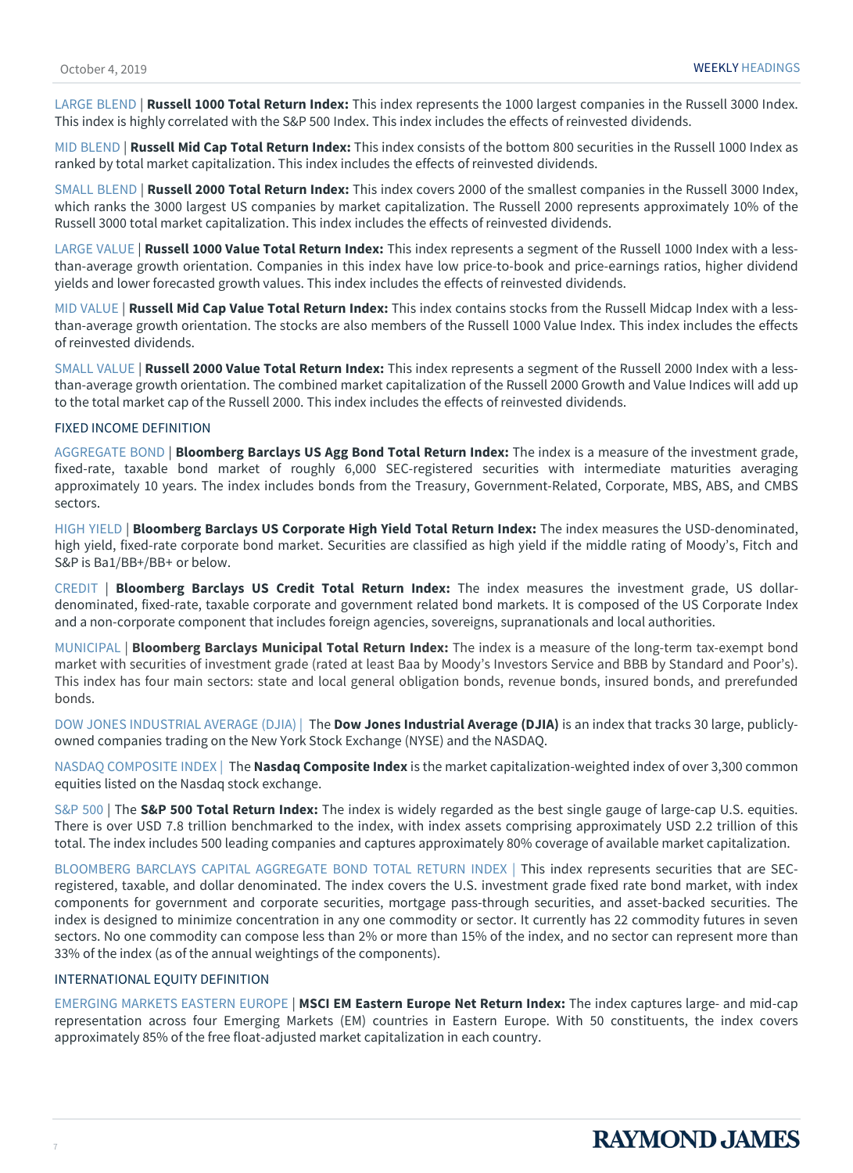LARGE BLEND | **Russell 1000 Total Return Index:** This index represents the 1000 largest companies in the Russell 3000 Index. This index is highly correlated with the S&P 500 Index. This index includes the effects of reinvested dividends.

MID BLEND | **Russell Mid Cap Total Return Index:** This index consists of the bottom 800 securities in the Russell 1000 Index as ranked by total market capitalization. This index includes the effects of reinvested dividends.

SMALL BLEND | **Russell 2000 Total Return Index:** This index covers 2000 of the smallest companies in the Russell 3000 Index, which ranks the 3000 largest US companies by market capitalization. The Russell 2000 represents approximately 10% of the Russell 3000 total market capitalization. This index includes the effects of reinvested dividends.

LARGE VALUE | **Russell 1000 Value Total Return Index:** This index represents a segment of the Russell 1000 Index with a lessthan-average growth orientation. Companies in this index have low price-to-book and price-earnings ratios, higher dividend yields and lower forecasted growth values. This index includes the effects of reinvested dividends.

MID VALUE | **Russell Mid Cap Value Total Return Index:** This index contains stocks from the Russell Midcap Index with a lessthan-average growth orientation. The stocks are also members of the Russell 1000 Value Index. This index includes the effects of reinvested dividends.

SMALL VALUE | **Russell 2000 Value Total Return Index:** This index represents a segment of the Russell 2000 Index with a lessthan-average growth orientation. The combined market capitalization of the Russell 2000 Growth and Value Indices will add up to the total market cap of the Russell 2000. This index includes the effects of reinvested dividends.

### FIXED INCOME DEFINITION

AGGREGATE BOND | **Bloomberg Barclays US Agg Bond Total Return Index:** The index is a measure of the investment grade, fixed-rate, taxable bond market of roughly 6,000 SEC-registered securities with intermediate maturities averaging approximately 10 years. The index includes bonds from the Treasury, Government-Related, Corporate, MBS, ABS, and CMBS sectors.

HIGH YIELD | **Bloomberg Barclays US Corporate High Yield Total Return Index:** The index measures the USD-denominated, high yield, fixed-rate corporate bond market. Securities are classified as high yield if the middle rating of Moody's, Fitch and S&P is Ba1/BB+/BB+ or below.

CREDIT | **Bloomberg Barclays US Credit Total Return Index:** The index measures the investment grade, US dollardenominated, fixed-rate, taxable corporate and government related bond markets. It is composed of the US Corporate Index and a non-corporate component that includes foreign agencies, sovereigns, supranationals and local authorities.

MUNICIPAL | **Bloomberg Barclays Municipal Total Return Index:** The index is a measure of the long-term tax-exempt bond market with securities of investment grade (rated at least Baa by Moody's Investors Service and BBB by Standard and Poor's). This index has four main sectors: state and local general obligation bonds, revenue bonds, insured bonds, and prerefunded bonds.

DOW JONES INDUSTRIAL AVERAGE (DJIA) | The **Dow Jones Industrial Average (DJIA)** is an index that tracks 30 large, publiclyowned companies trading on the New York Stock Exchange (NYSE) and the NASDAQ.

NASDAQ COMPOSITE INDEX | The **Nasdaq Composite Index** is the market capitalization-weighted index of over 3,300 common equities listed on the Nasdaq stock exchange.

S&P 500 | The **S&P 500 Total Return Index:** The index is widely regarded as the best single gauge of large-cap U.S. equities. There is over USD 7.8 trillion benchmarked to the index, with index assets comprising approximately USD 2.2 trillion of this total. The index includes 500 leading companies and captures approximately 80% coverage of available market capitalization.

BLOOMBERG BARCLAYS CAPITAL AGGREGATE BOND TOTAL RETURN INDEX | This index represents securities that are SECregistered, taxable, and dollar denominated. The index covers the U.S. investment grade fixed rate bond market, with index components for government and corporate securities, mortgage pass-through securities, and asset-backed securities. The index is designed to minimize concentration in any one commodity or sector. It currently has 22 commodity futures in seven sectors. No one commodity can compose less than 2% or more than 15% of the index, and no sector can represent more than 33% of the index (as of the annual weightings of the components).

### INTERNATIONAL EQUITY DEFINITION

EMERGING MARKETS EASTERN EUROPE | **MSCI EM Eastern Europe Net Return Index:** The index captures large- and mid-cap representation across four Emerging Markets (EM) countries in Eastern Europe. With 50 constituents, the index covers approximately 85% of the free float-adjusted market capitalization in each country.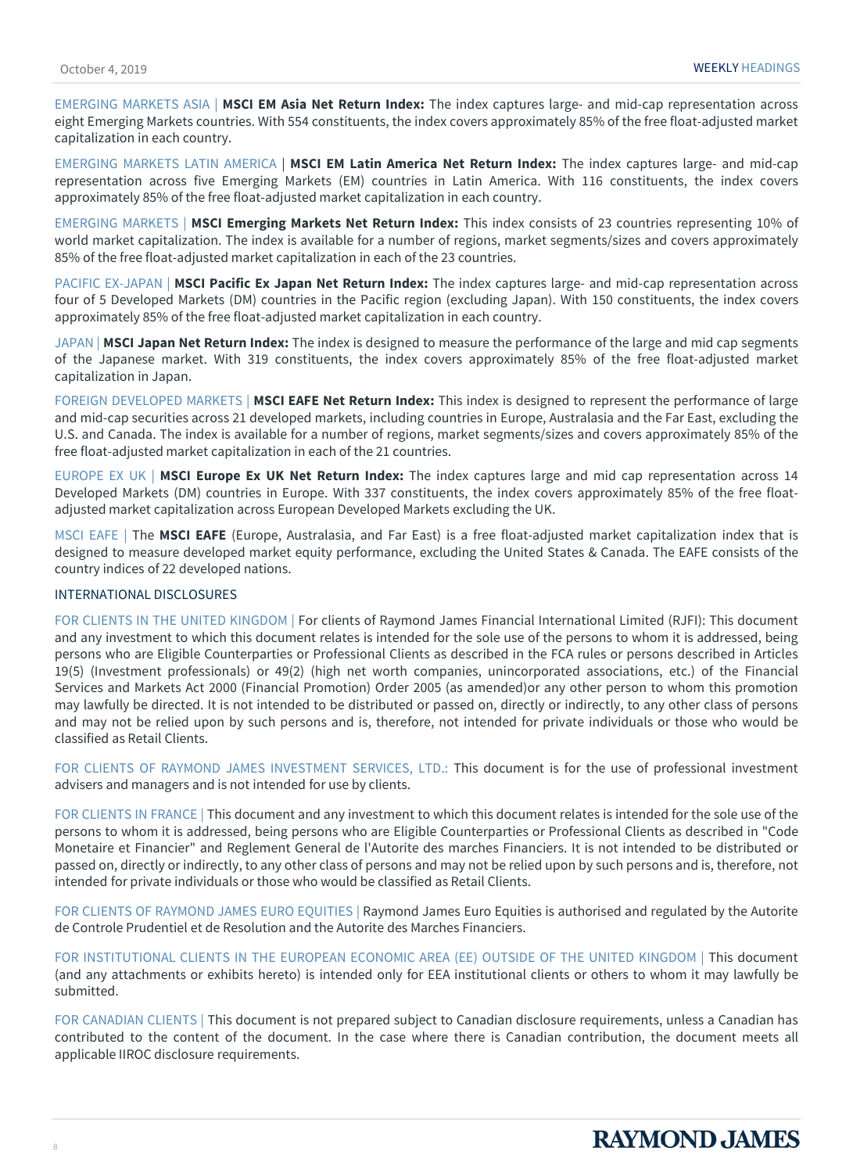EMERGING MARKETS ASIA | **MSCI EM Asia Net Return Index:** The index captures large- and mid-cap representation across eight Emerging Markets countries. With 554 constituents, the index covers approximately 85% of the free float-adjusted market capitalization in each country.

EMERGING MARKETS LATIN AMERICA | **MSCI EM Latin America Net Return Index:** The index captures large- and mid-cap representation across five Emerging Markets (EM) countries in Latin America. With 116 constituents, the index covers approximately 85% of the free float-adjusted market capitalization in each country.

EMERGING MARKETS | **MSCI Emerging Markets Net Return Index:** This index consists of 23 countries representing 10% of world market capitalization. The index is available for a number of regions, market segments/sizes and covers approximately 85% of the free float-adjusted market capitalization in each of the 23 countries.

PACIFIC EX-JAPAN | **MSCI Pacific Ex Japan Net Return Index:** The index captures large- and mid-cap representation across four of 5 Developed Markets (DM) countries in the Pacific region (excluding Japan). With 150 constituents, the index covers approximately 85% of the free float-adjusted market capitalization in each country.

JAPAN | **MSCI Japan Net Return Index:** The index is designed to measure the performance of the large and mid cap segments of the Japanese market. With 319 constituents, the index covers approximately 85% of the free float-adjusted market capitalization in Japan.

FOREIGN DEVELOPED MARKETS | **MSCI EAFE Net Return Index:** This index is designed to represent the performance of large and mid-cap securities across 21 developed markets, including countries in Europe, Australasia and the Far East, excluding the U.S. and Canada. The index is available for a number of regions, market segments/sizes and covers approximately 85% of the free float-adjusted market capitalization in each of the 21 countries.

EUROPE EX UK | **MSCI Europe Ex UK Net Return Index:** The index captures large and mid cap representation across 14 Developed Markets (DM) countries in Europe. With 337 constituents, the index covers approximately 85% of the free floatadjusted market capitalization across European Developed Markets excluding the UK.

MSCI EAFE | The **MSCI EAFE** (Europe, Australasia, and Far East) is a free float-adjusted market capitalization index that is designed to measure developed market equity performance, excluding the United States & Canada. The EAFE consists of the country indices of 22 developed nations.

### INTERNATIONAL DISCLOSURES

FOR CLIENTS IN THE UNITED KINGDOM | For clients of Raymond James Financial International Limited (RJFI): This document and any investment to which this document relates is intended for the sole use of the persons to whom it is addressed, being persons who are Eligible Counterparties or Professional Clients as described in the FCA rules or persons described in Articles 19(5) (Investment professionals) or 49(2) (high net worth companies, unincorporated associations, etc.) of the Financial Services and Markets Act 2000 (Financial Promotion) Order 2005 (as amended)or any other person to whom this promotion may lawfully be directed. It is not intended to be distributed or passed on, directly or indirectly, to any other class of persons and may not be relied upon by such persons and is, therefore, not intended for private individuals or those who would be classified as Retail Clients.

FOR CLIENTS OF RAYMOND JAMES INVESTMENT SERVICES, LTD.: This document is for the use of professional investment advisers and managers and is not intended for use by clients.

FOR CLIENTS IN FRANCE | This document and any investment to which this document relates is intended for the sole use of the persons to whom it is addressed, being persons who are Eligible Counterparties or Professional Clients as described in "Code Monetaire et Financier" and Reglement General de l'Autorite des marches Financiers. It is not intended to be distributed or passed on, directly or indirectly, to any other class of persons and may not be relied upon by such persons and is, therefore, not intended for private individuals or those who would be classified as Retail Clients.

FOR CLIENTS OF RAYMOND JAMES EURO EQUITIES | Raymond James Euro Equities is authorised and regulated by the Autorite de Controle Prudentiel et de Resolution and the Autorite des Marches Financiers.

FOR INSTITUTIONAL CLIENTS IN THE EUROPEAN ECONOMIC AREA (EE) OUTSIDE OF THE UNITED KINGDOM | This document (and any attachments or exhibits hereto) is intended only for EEA institutional clients or others to whom it may lawfully be submitted.

FOR CANADIAN CLIENTS | This document is not prepared subject to Canadian disclosure requirements, unless a Canadian has contributed to the content of the document. In the case where there is Canadian contribution, the document meets all applicable IIROC disclosure requirements.